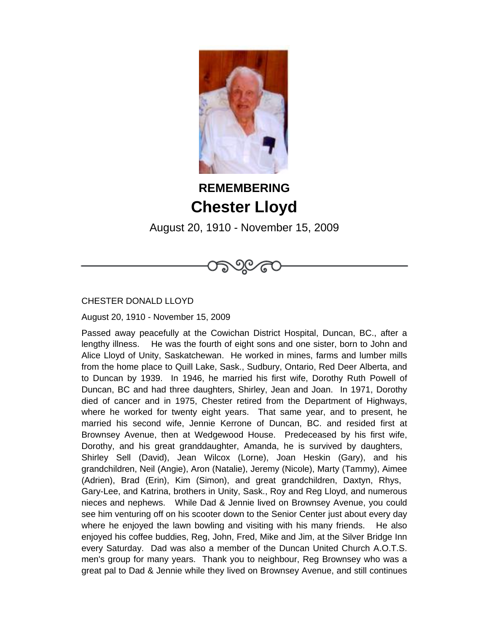

## **REMEMBERING Chester Lloyd**

August 20, 1910 - November 15, 2009

೧೯೨೦೬೬



August 20, 1910 - November 15, 2009

Passed away peacefully at the Cowichan District Hospital, Duncan, BC., after a lengthy illness. He was the fourth of eight sons and one sister, born to John and Alice Lloyd of Unity, Saskatchewan. He worked in mines, farms and lumber mills from the home place to Quill Lake, Sask., Sudbury, Ontario, Red Deer Alberta, and to Duncan by 1939. In 1946, he married his first wife, Dorothy Ruth Powell of Duncan, BC and had three daughters, Shirley, Jean and Joan. In 1971, Dorothy died of cancer and in 1975, Chester retired from the Department of Highways, where he worked for twenty eight years. That same year, and to present, he married his second wife, Jennie Kerrone of Duncan, BC. and resided first at Brownsey Avenue, then at Wedgewood House. Predeceased by his first wife, Dorothy, and his great granddaughter, Amanda, he is survived by daughters, Shirley Sell (David), Jean Wilcox (Lorne), Joan Heskin (Gary), and his grandchildren, Neil (Angie), Aron (Natalie), Jeremy (Nicole), Marty (Tammy), Aimee (Adrien), Brad (Erin), Kim (Simon), and great grandchildren, Daxtyn, Rhys, Gary-Lee, and Katrina, brothers in Unity, Sask., Roy and Reg Lloyd, and numerous nieces and nephews. While Dad & Jennie lived on Brownsey Avenue, you could see him venturing off on his scooter down to the Senior Center just about every day where he enjoyed the lawn bowling and visiting with his many friends. He also enjoyed his coffee buddies, Reg, John, Fred, Mike and Jim, at the Silver Bridge Inn every Saturday. Dad was also a member of the Duncan United Church A.O.T.S. men's group for many years. Thank you to neighbour, Reg Brownsey who was a great pal to Dad & Jennie while they lived on Brownsey Avenue, and still continues